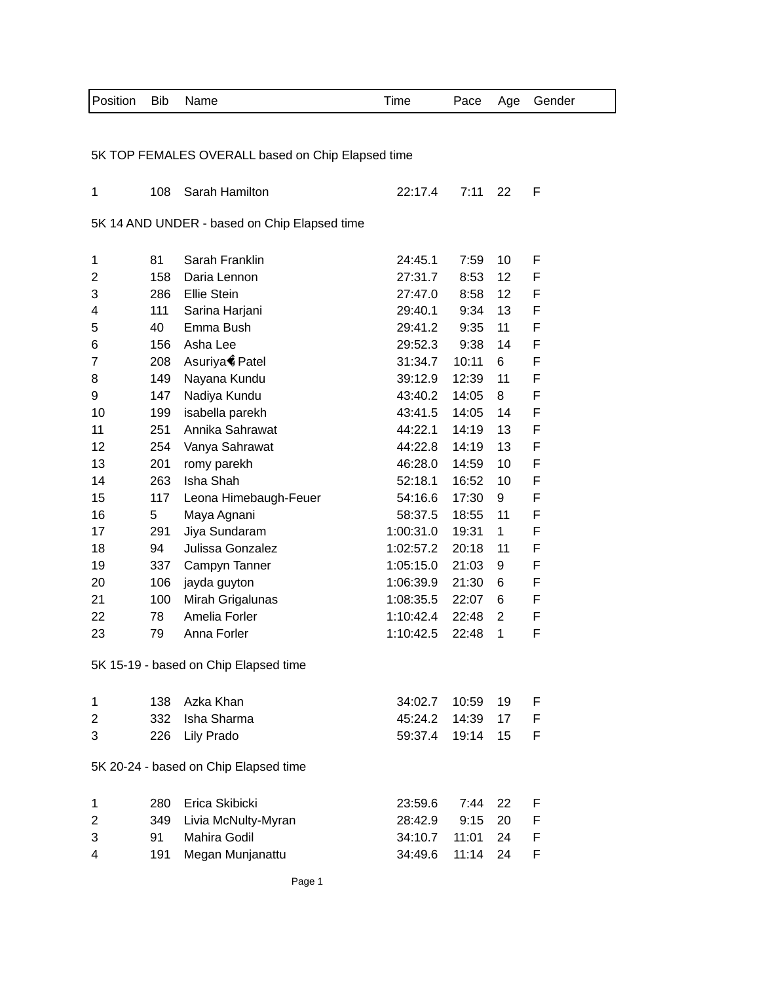| Position       | <b>Bib</b> | Name                                              | Time      | Pace  | Age             | Gender |
|----------------|------------|---------------------------------------------------|-----------|-------|-----------------|--------|
|                |            |                                                   |           |       |                 |        |
|                |            | 5K TOP FEMALES OVERALL based on Chip Elapsed time |           |       |                 |        |
| 1              | 108        | Sarah Hamilton                                    | 22:17.4   | 7:11  | 22              | F      |
|                |            | 5K 14 AND UNDER - based on Chip Elapsed time      |           |       |                 |        |
| 1              | 81         | Sarah Franklin                                    | 24:45.1   | 7:59  | 10              | F      |
| $\overline{2}$ | 158        | Daria Lennon                                      | 27:31.7   | 8:53  | 12 <sup>2</sup> | F      |
| 3              | 286        | <b>Ellie Stein</b>                                | 27:47.0   | 8:58  | 12 <sup>2</sup> | F      |
| 4              | 111        | Sarina Harjani                                    | 29:40.1   | 9:34  | 13              | F      |
| 5              | 40         | Emma Bush                                         | 29:41.2   | 9:35  | 11              | F      |
| 6              | 156        | Asha Lee                                          | 29:52.3   | 9:38  | 14              | F      |
| 7              | 208        | Asuriya Patel                                     | 31:34.7   | 10:11 | 6               | F      |
| 8              | 149        | Nayana Kundu                                      | 39:12.9   | 12:39 | 11              | F      |
| 9              | 147        | Nadiya Kundu                                      | 43:40.2   | 14:05 | 8               | F      |
| 10             | 199        | isabella parekh                                   | 43:41.5   | 14:05 | 14              | F      |
| 11             | 251        | Annika Sahrawat                                   | 44:22.1   | 14:19 | 13              | F      |
| 12             | 254        | Vanya Sahrawat                                    | 44:22.8   | 14:19 | 13              | F      |
| 13             | 201        | romy parekh                                       | 46:28.0   | 14:59 | 10              | F      |
| 14             | 263        | Isha Shah                                         | 52:18.1   | 16:52 | 10              | F      |
| 15             | 117        | Leona Himebaugh-Feuer                             | 54:16.6   | 17:30 | 9               | F      |
| 16             | 5          | Maya Agnani                                       | 58:37.5   | 18:55 | 11              | F      |
| 17             | 291        | Jiya Sundaram                                     | 1:00:31.0 | 19:31 | $\mathbf 1$     | F      |
| 18             | 94         | Julissa Gonzalez                                  | 1:02:57.2 | 20:18 | 11              | F      |
| 19             | 337        | Campyn Tanner                                     | 1:05:15.0 | 21:03 | 9               | F      |
| 20             | 106        | jayda guyton                                      | 1:06:39.9 | 21:30 | 6               | F      |
| 21             | 100        | Mirah Grigalunas                                  | 1:08:35.5 | 22:07 | 6               | F      |
| 22             | 78         | Amelia Forler                                     | 1:10:42.4 | 22:48 | $\overline{2}$  | F      |
| 23             | 79         | Anna Forler                                       | 1:10:42.5 | 22:48 | 1               | F      |
|                |            | 5K 15-19 - based on Chip Elapsed time             |           |       |                 |        |
| 1              | 138        | Azka Khan                                         | 34:02.7   | 10:59 | 19              | F      |
| 2              | 332        | Isha Sharma                                       | 45:24.2   | 14:39 | 17              | F      |
| 3              | 226        | Lily Prado                                        | 59:37.4   | 19:14 | 15 <sub>2</sub> | F      |
|                |            |                                                   |           |       |                 |        |
|                |            | 5K 20-24 - based on Chip Elapsed time             |           |       |                 |        |
| 1              | 280        | Erica Skibicki                                    | 23:59.6   | 7:44  | 22              | F      |
| $\overline{2}$ | 349        | Livia McNulty-Myran                               | 28:42.9   | 9:15  | 20              | F      |
| 3              | 91         | Mahira Godil                                      | 34:10.7   | 11:01 | 24              | F      |
| 4              | 191        | Megan Munjanattu                                  | 34:49.6   | 11:14 | 24              | F      |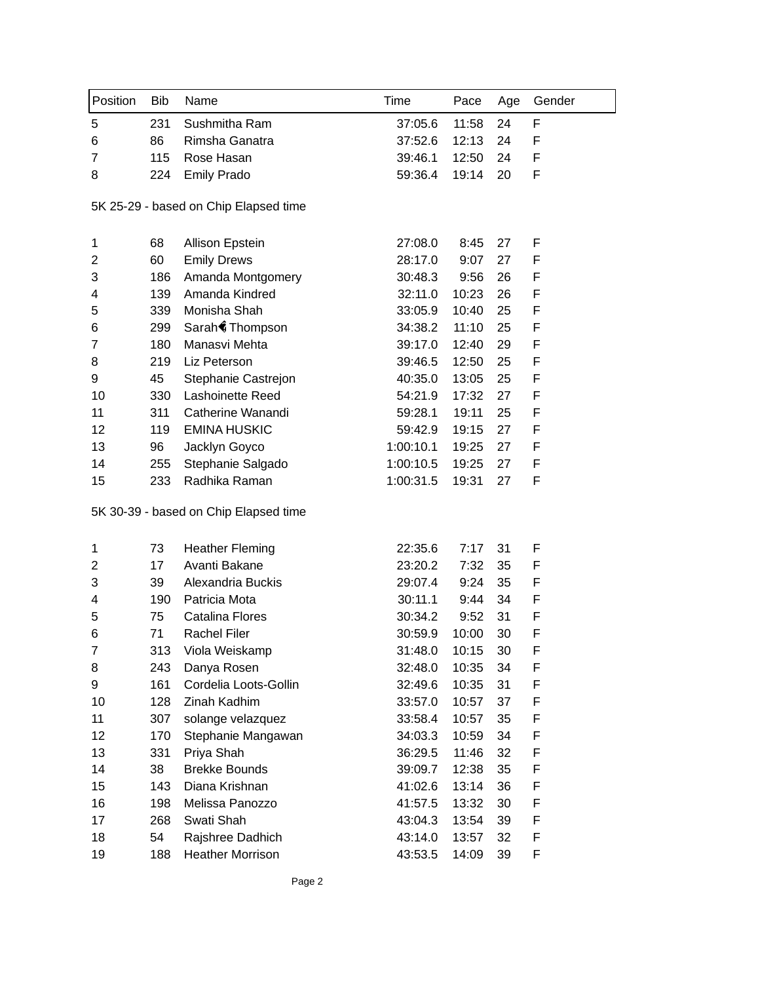| Position       | <b>Bib</b> | Name                                  | Time      | Pace  | Age | Gender |
|----------------|------------|---------------------------------------|-----------|-------|-----|--------|
| 5              | 231        | Sushmitha Ram                         | 37:05.6   | 11:58 | 24  | F      |
| 6              | 86         | Rimsha Ganatra                        | 37:52.6   | 12:13 | 24  | F      |
| 7              | 115        | Rose Hasan                            | 39:46.1   | 12:50 | 24  | F      |
| 8              | 224        | <b>Emily Prado</b>                    | 59:36.4   | 19:14 | 20  | F      |
|                |            | 5K 25-29 - based on Chip Elapsed time |           |       |     |        |
| 1              | 68         | <b>Allison Epstein</b>                | 27:08.0   | 8:45  | 27  | F      |
| 2              | 60         | <b>Emily Drews</b>                    | 28:17.0   | 9:07  | 27  | F      |
| 3              | 186        | Amanda Montgomery                     | 30:48.3   | 9:56  | 26  | F      |
| 4              | 139        | Amanda Kindred                        | 32:11.0   | 10:23 | 26  | F      |
| 5              | 339        | Monisha Shah                          | 33:05.9   | 10:40 | 25  | F      |
| 6              | 299        | Sarah Thompson                        | 34:38.2   | 11:10 | 25  | F      |
| $\overline{7}$ | 180        | Manasvi Mehta                         | 39:17.0   | 12:40 | 29  | F      |
| 8              | 219        | Liz Peterson                          | 39:46.5   | 12:50 | 25  | F      |
| 9              | 45         | Stephanie Castrejon                   | 40:35.0   | 13:05 | 25  | F      |
| 10             | 330        | Lashoinette Reed                      | 54:21.9   | 17:32 | 27  | F      |
| 11             | 311        | Catherine Wanandi                     | 59:28.1   | 19:11 | 25  | F      |
| 12             | 119        | <b>EMINA HUSKIC</b>                   | 59:42.9   | 19:15 | 27  | F      |
| 13             | 96         | Jacklyn Goyco                         | 1:00:10.1 | 19:25 | 27  | F      |
| 14             | 255        | Stephanie Salgado                     | 1:00:10.5 | 19:25 | 27  | F      |
| 15             | 233        | Radhika Raman                         | 1:00:31.5 | 19:31 | 27  | F      |
|                |            | 5K 30-39 - based on Chip Elapsed time |           |       |     |        |
| 1              | 73         | <b>Heather Fleming</b>                | 22:35.6   | 7:17  | 31  | F      |
| $\overline{c}$ | 17         | Avanti Bakane                         | 23:20.2   | 7:32  | 35  | F      |
| 3              | 39         | Alexandria Buckis                     | 29:07.4   | 9:24  | 35  | F      |
| 4              | 190        | Patricia Mota                         | 30:11.1   | 9:44  | 34  | F      |
| 5              | 75         | <b>Catalina Flores</b>                | 30:34.2   | 9:52  | 31  | F      |
| 6              | 71         | Rachel Filer                          | 30:59.9   | 10:00 | 30  | F      |
| 7              | 313        | Viola Weiskamp                        | 31:48.0   | 10:15 | 30  | F      |
| 8              | 243        | Danya Rosen                           | 32:48.0   | 10:35 | 34  | F      |
| 9              | 161        | Cordelia Loots-Gollin                 | 32:49.6   | 10:35 | 31  | F      |
| 10             | 128        | Zinah Kadhim                          | 33:57.0   | 10:57 | 37  | F      |
| 11             | 307        | solange velazquez                     | 33:58.4   | 10:57 | 35  | F      |
| 12             | 170        | Stephanie Mangawan                    | 34:03.3   | 10:59 | 34  | F      |
| 13             | 331        | Priya Shah                            | 36:29.5   | 11:46 | 32  | F      |
| 14             | 38         | <b>Brekke Bounds</b>                  | 39:09.7   | 12:38 | 35  | F      |
| 15             | 143        | Diana Krishnan                        | 41:02.6   | 13:14 | 36  | F      |
| 16             | 198        | Melissa Panozzo                       | 41:57.5   | 13:32 | 30  | F      |
| 17             | 268        | Swati Shah                            | 43:04.3   | 13:54 | 39  | F      |
| 18             | 54         | Rajshree Dadhich                      | 43:14.0   | 13:57 | 32  | F      |
| 19             | 188        | <b>Heather Morrison</b>               | 43:53.5   | 14:09 | 39  | F      |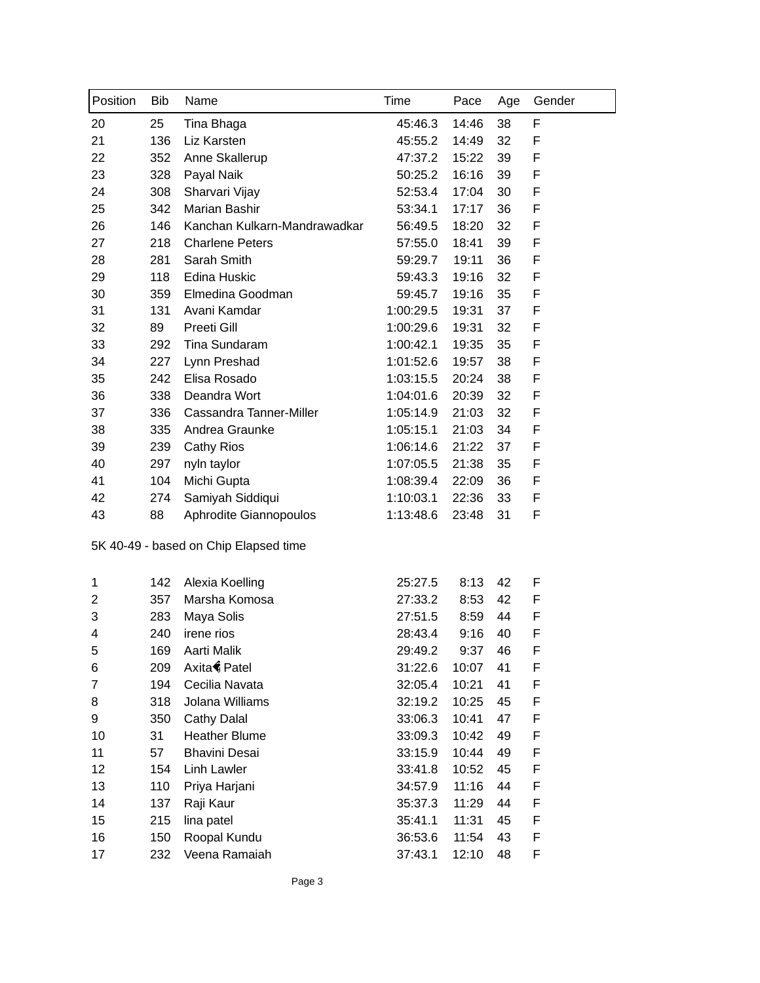| Position            | Bib | Name                                  | Time      | Pace         | Age | Gender |
|---------------------|-----|---------------------------------------|-----------|--------------|-----|--------|
| 20                  | 25  | Tina Bhaga                            | 45:46.3   | 14:46        | 38  | F      |
| 21                  | 136 | Liz Karsten                           | 45:55.2   | 14:49        | 32  | F      |
| 22                  | 352 | Anne Skallerup                        | 47:37.2   | 15:22        | 39  | F      |
| 23                  | 328 | Payal Naik                            | 50:25.2   | 16:16        | 39  | F      |
| 24                  | 308 | Sharvari Vijay                        | 52:53.4   | 17:04        | 30  | F      |
| 25                  | 342 | Marian Bashir                         | 53:34.1   | 17:17        | 36  | F      |
| 26                  | 146 | Kanchan Kulkarn-Mandrawadkar          | 56:49.5   | 18:20        | 32  | F      |
| 27                  | 218 | <b>Charlene Peters</b>                | 57:55.0   | 18:41        | 39  | F      |
| 28                  | 281 | Sarah Smith                           | 59:29.7   | 19:11        | 36  | F      |
| 29                  | 118 | Edina Huskic                          | 59:43.3   | 19:16        | 32  | F      |
| 30                  | 359 | Elmedina Goodman                      | 59:45.7   | 19:16        | 35  | F      |
| 31                  | 131 | Avani Kamdar                          | 1:00:29.5 | 19:31        | 37  | F      |
| 32                  | 89  | Preeti Gill                           | 1:00:29.6 | 19:31        | 32  | F      |
| 33                  | 292 | Tina Sundaram                         | 1:00:42.1 | 19:35        | 35  | F      |
| 34                  | 227 | Lynn Preshad                          | 1:01:52.6 | 19:57        | 38  | F      |
| 35                  | 242 | Elisa Rosado                          | 1:03:15.5 | 20:24        | 38  | F      |
| 36                  | 338 | Deandra Wort                          | 1:04:01.6 | 20:39        | 32  | F      |
| 37                  | 336 | Cassandra Tanner-Miller               | 1:05:14.9 | 21:03        | 32  | F      |
| 38                  | 335 | Andrea Graunke                        | 1:05:15.1 | 21:03        | 34  | F      |
| 39                  | 239 | <b>Cathy Rios</b>                     | 1:06:14.6 | 21:22        | 37  | F      |
| 40                  | 297 | nyln taylor                           | 1:07:05.5 | 21:38        | 35  | F      |
| 41                  | 104 | Michi Gupta                           | 1:08:39.4 | 22:09        | 36  | F      |
| 42                  | 274 | Samiyah Siddiqui                      | 1:10:03.1 | 22:36        | 33  | F      |
| 43                  | 88  | Aphrodite Giannopoulos                | 1:13:48.6 | 23:48        | 31  | F      |
|                     |     | 5K 40-49 - based on Chip Elapsed time |           |              |     |        |
|                     | 142 | Alexia Koelling                       | 25:27.5   |              | 42  | F      |
| 1<br>$\overline{c}$ | 357 | Marsha Komosa                         | 27:33.2   | 8:13<br>8:53 | 42  | F      |
| 3                   | 283 | Maya Solis                            | 27:51.5   | 8:59         | 44  | F      |
| 4                   | 240 | irene rios                            | 28:43.4   | 9:16         | 40  | F      |
| 5                   | 169 | Aarti Malik                           | 29:49.2   | 9:37         | 46  | F      |
| 6                   | 209 | Axita Patel                           | 31:22.6   | 10:07        | 41  | F      |
| 7                   | 194 | Cecilia Navata                        | 32:05.4   | 10:21        | 41  | F      |
| 8                   | 318 | Jolana Williams                       | 32:19.2   | 10:25        | 45  | F      |
| 9                   | 350 | Cathy Dalal                           | 33:06.3   | 10:41        | 47  | F      |
| 10                  | 31  | <b>Heather Blume</b>                  | 33:09.3   | 10:42        | 49  | F      |
| 11                  | 57  | <b>Bhavini Desai</b>                  | 33:15.9   | 10:44        | 49  | F      |
| 12                  | 154 | <b>Linh Lawler</b>                    | 33:41.8   | 10:52        | 45  | F      |
| 13                  | 110 | Priya Harjani                         | 34:57.9   | 11:16        | 44  | F      |
| 14                  | 137 | Raji Kaur                             | 35:37.3   | 11:29        | 44  | F      |
| 15                  | 215 | lina patel                            | 35:41.1   | 11:31        | 45  | F      |
| 16                  | 150 | Roopal Kundu                          | 36:53.6   | 11:54        | 43  | F      |
| 17                  | 232 | Veena Ramaiah                         | 37:43.1   | 12:10        | 48  | F      |
|                     |     |                                       |           |              |     |        |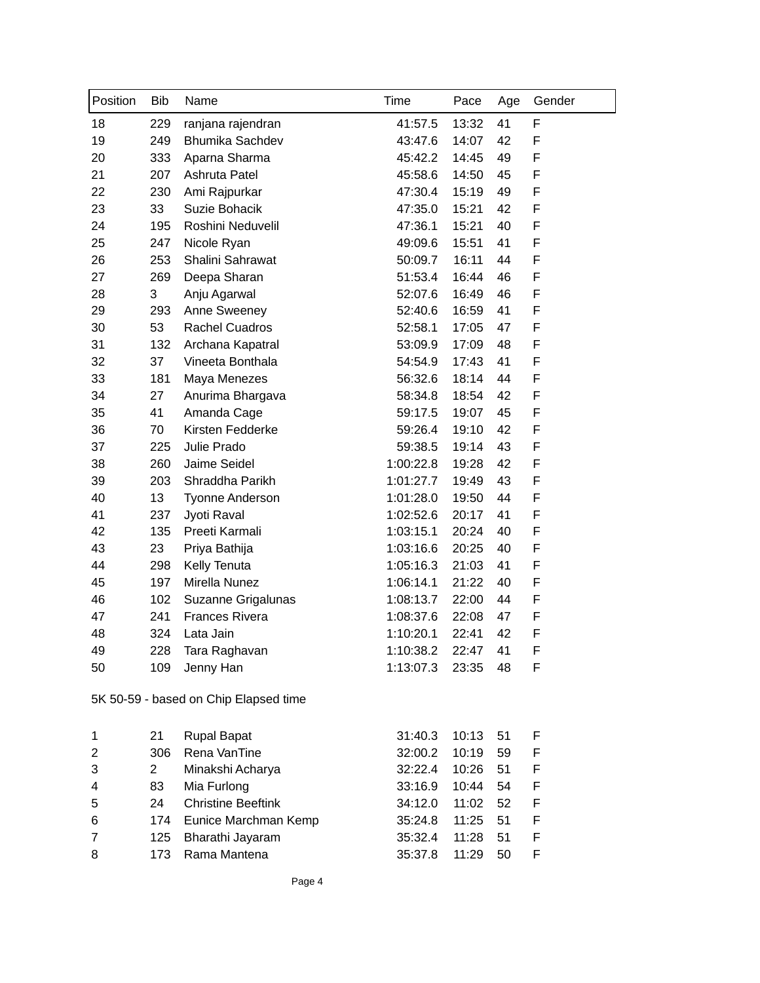| Position | <b>Bib</b> | Name                                  | Time      | Pace  | Age | Gender |
|----------|------------|---------------------------------------|-----------|-------|-----|--------|
| 18       | 229        | ranjana rajendran                     | 41:57.5   | 13:32 | 41  | F      |
| 19       | 249        | <b>Bhumika Sachdev</b>                | 43:47.6   | 14:07 | 42  | F      |
| 20       | 333        | Aparna Sharma                         | 45:42.2   | 14:45 | 49  | F      |
| 21       | 207        | Ashruta Patel                         | 45:58.6   | 14:50 | 45  | F      |
| 22       | 230        | Ami Rajpurkar                         | 47:30.4   | 15:19 | 49  | F      |
| 23       | 33         | Suzie Bohacik                         | 47:35.0   | 15:21 | 42  | F      |
| 24       | 195        | Roshini Neduvelil                     | 47:36.1   | 15:21 | 40  | F      |
| 25       | 247        | Nicole Ryan                           | 49:09.6   | 15:51 | 41  | F      |
| 26       | 253        | Shalini Sahrawat                      | 50:09.7   | 16:11 | 44  | F      |
| 27       | 269        | Deepa Sharan                          | 51:53.4   | 16:44 | 46  | F      |
| 28       | 3          | Anju Agarwal                          | 52:07.6   | 16:49 | 46  | F      |
| 29       | 293        | Anne Sweeney                          | 52:40.6   | 16:59 | 41  | F      |
| 30       | 53         | <b>Rachel Cuadros</b>                 | 52:58.1   | 17:05 | 47  | F      |
| 31       | 132        | Archana Kapatral                      | 53:09.9   | 17:09 | 48  | F      |
| 32       | 37         | Vineeta Bonthala                      | 54:54.9   | 17:43 | 41  | F      |
| 33       | 181        | Maya Menezes                          | 56:32.6   | 18:14 | 44  | F      |
| 34       | 27         | Anurima Bhargava                      | 58:34.8   | 18:54 | 42  | F      |
| 35       | 41         | Amanda Cage                           | 59:17.5   | 19:07 | 45  | F      |
| 36       | 70         | Kirsten Fedderke                      | 59:26.4   | 19:10 | 42  | F      |
| 37       | 225        | Julie Prado                           | 59:38.5   | 19:14 | 43  | F      |
| 38       | 260        | Jaime Seidel                          | 1:00:22.8 | 19:28 | 42  | F      |
| 39       | 203        | Shraddha Parikh                       | 1:01:27.7 | 19:49 | 43  | F      |
| 40       | 13         | Tyonne Anderson                       | 1:01:28.0 | 19:50 | 44  | F      |
| 41       | 237        | Jyoti Raval                           | 1:02:52.6 | 20:17 | 41  | F      |
| 42       | 135        | Preeti Karmali                        | 1:03:15.1 | 20:24 | 40  | F      |
| 43       | 23         | Priya Bathija                         | 1:03:16.6 | 20:25 | 40  | F      |
| 44       | 298        | Kelly Tenuta                          | 1:05:16.3 | 21:03 | 41  | F      |
| 45       | 197        | Mirella Nunez                         | 1:06:14.1 | 21:22 | 40  | F      |
| 46       | 102        | Suzanne Grigalunas                    | 1:08:13.7 | 22:00 | 44  | F      |
| 47       | 241        | <b>Frances Rivera</b>                 | 1:08:37.6 | 22:08 | 47  | F      |
| 48       | 324        | Lata Jain                             | 1:10:20.1 | 22:41 | 42  | F      |
| 49       | 228        | Tara Raghavan                         | 1:10:38.2 | 22:47 | 41  | F      |
| 50       | 109        | Jenny Han                             | 1:13:07.3 | 23:35 | 48  | F      |
|          |            | 5K 50-59 - based on Chip Elapsed time |           |       |     |        |
| 1        | 21         | <b>Rupal Bapat</b>                    | 31:40.3   | 10:13 | 51  | F      |
| 2        | 306        | Rena VanTine                          | 32:00.2   | 10:19 | 59  | F      |
| 3        | 2          | Minakshi Acharya                      | 32:22.4   | 10:26 | 51  | F      |
| 4        | 83         | Mia Furlong                           | 33:16.9   | 10:44 | 54  | F      |
| 5        | 24         | <b>Christine Beeftink</b>             | 34:12.0   | 11:02 | 52  | F      |
| 6        | 174        | Eunice Marchman Kemp                  | 35:24.8   | 11:25 | 51  | F      |

173 Rama Mantena 35:37.8 11:29 50 F

125 Bharathi Jayaram 35:32.4 11:28 51 F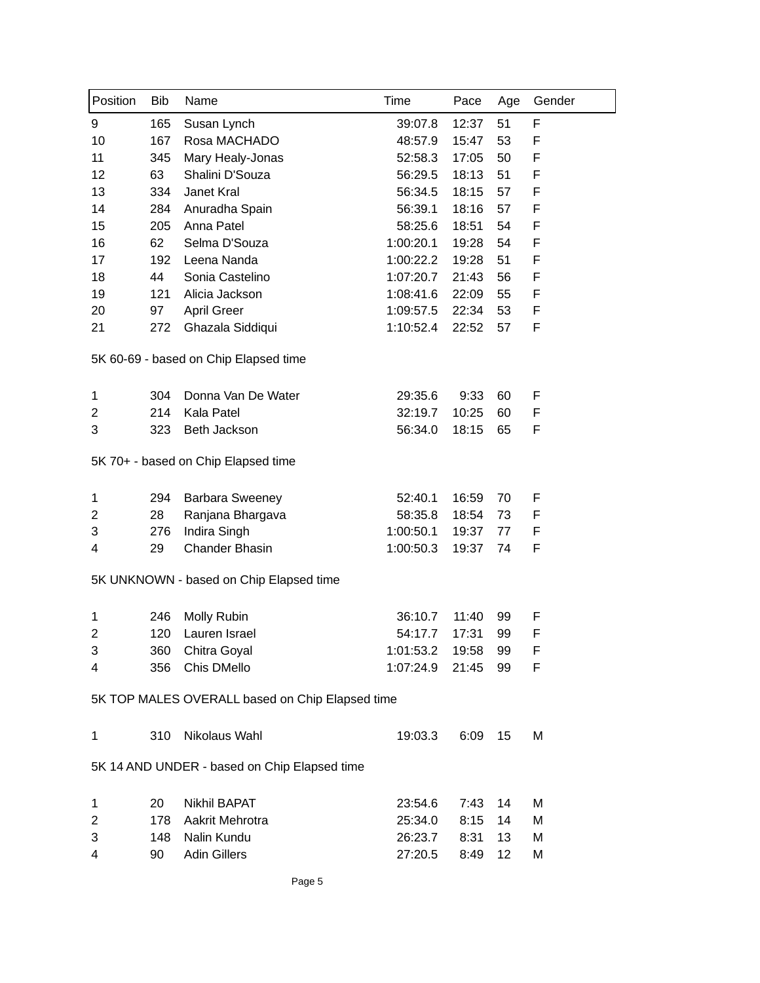| 51<br>F<br>9<br>165<br>Susan Lynch<br>39:07.8<br>12:37<br>10<br>167<br>Rosa MACHADO<br>53<br>F<br>48:57.9<br>15:47<br>11<br>F<br>345<br>Mary Healy-Jonas<br>52:58.3<br>17:05<br>50<br>12<br>63<br>F<br>Shalini D'Souza<br>56:29.5<br>18:13<br>51<br>13<br>F<br>334<br>Janet Kral<br>56:34.5<br>18:15<br>57<br>14<br>56:39.1<br>F<br>284<br>Anuradha Spain<br>18:16<br>57<br>15<br>205<br>Anna Patel<br>58:25.6<br>F<br>18:51<br>54<br>16<br>62<br>Selma D'Souza<br>1:00:20.1<br>F<br>19:28<br>54<br>1:00:22.2<br>19:28<br>F<br>17<br>192<br>Leena Nanda<br>51<br>Sonia Castelino<br>F<br>18<br>44<br>1:07:20.7<br>21:43<br>56 |
|-------------------------------------------------------------------------------------------------------------------------------------------------------------------------------------------------------------------------------------------------------------------------------------------------------------------------------------------------------------------------------------------------------------------------------------------------------------------------------------------------------------------------------------------------------------------------------------------------------------------------------|
|                                                                                                                                                                                                                                                                                                                                                                                                                                                                                                                                                                                                                               |
|                                                                                                                                                                                                                                                                                                                                                                                                                                                                                                                                                                                                                               |
|                                                                                                                                                                                                                                                                                                                                                                                                                                                                                                                                                                                                                               |
|                                                                                                                                                                                                                                                                                                                                                                                                                                                                                                                                                                                                                               |
|                                                                                                                                                                                                                                                                                                                                                                                                                                                                                                                                                                                                                               |
|                                                                                                                                                                                                                                                                                                                                                                                                                                                                                                                                                                                                                               |
|                                                                                                                                                                                                                                                                                                                                                                                                                                                                                                                                                                                                                               |
|                                                                                                                                                                                                                                                                                                                                                                                                                                                                                                                                                                                                                               |
|                                                                                                                                                                                                                                                                                                                                                                                                                                                                                                                                                                                                                               |
|                                                                                                                                                                                                                                                                                                                                                                                                                                                                                                                                                                                                                               |
| 19<br>121<br>F<br>Alicia Jackson<br>1:08:41.6<br>22:09<br>55                                                                                                                                                                                                                                                                                                                                                                                                                                                                                                                                                                  |
| F<br>20<br>97<br><b>April Greer</b><br>1:09:57.5<br>22:34<br>53                                                                                                                                                                                                                                                                                                                                                                                                                                                                                                                                                               |
| F<br>Ghazala Siddiqui<br>1:10:52.4<br>21<br>272<br>22:52<br>57                                                                                                                                                                                                                                                                                                                                                                                                                                                                                                                                                                |
| 5K 60-69 - based on Chip Elapsed time                                                                                                                                                                                                                                                                                                                                                                                                                                                                                                                                                                                         |
| 304<br>Donna Van De Water<br>29:35.6<br>9:33<br>60<br>F<br>1                                                                                                                                                                                                                                                                                                                                                                                                                                                                                                                                                                  |
| Kala Patel<br>$\overline{c}$<br>214<br>32:19.7<br>10:25<br>60<br>F                                                                                                                                                                                                                                                                                                                                                                                                                                                                                                                                                            |
| 3<br>56:34.0<br>323<br>Beth Jackson<br>18:15<br>65<br>F                                                                                                                                                                                                                                                                                                                                                                                                                                                                                                                                                                       |
| 5K 70+ - based on Chip Elapsed time                                                                                                                                                                                                                                                                                                                                                                                                                                                                                                                                                                                           |
| 1<br>294<br><b>Barbara Sweeney</b><br>52:40.1<br>16:59<br>70<br>F                                                                                                                                                                                                                                                                                                                                                                                                                                                                                                                                                             |
| $\overline{2}$<br>58:35.8<br>F<br>28<br>Ranjana Bhargava<br>18:54<br>73                                                                                                                                                                                                                                                                                                                                                                                                                                                                                                                                                       |
| Indira Singh<br>3<br>276<br>1:00:50.1<br>19:37<br>F<br>77                                                                                                                                                                                                                                                                                                                                                                                                                                                                                                                                                                     |
| <b>Chander Bhasin</b><br>29<br>F<br>4<br>1:00:50.3<br>19:37<br>74                                                                                                                                                                                                                                                                                                                                                                                                                                                                                                                                                             |
| 5K UNKNOWN - based on Chip Elapsed time                                                                                                                                                                                                                                                                                                                                                                                                                                                                                                                                                                                       |
| 1<br>246<br>Molly Rubin<br>36:10.7<br>99<br>F<br>11:40                                                                                                                                                                                                                                                                                                                                                                                                                                                                                                                                                                        |
| $\overline{2}$<br>120<br>Lauren Israel<br>17:31<br>99<br>F<br>54:17.7                                                                                                                                                                                                                                                                                                                                                                                                                                                                                                                                                         |
| 3<br>360<br>Chitra Goyal<br>1:01:53.2<br>19:58<br>99<br>F                                                                                                                                                                                                                                                                                                                                                                                                                                                                                                                                                                     |
| 356<br>Chis DMello<br>1:07:24.9<br>21:45<br>4<br>99<br>F                                                                                                                                                                                                                                                                                                                                                                                                                                                                                                                                                                      |
| 5K TOP MALES OVERALL based on Chip Elapsed time                                                                                                                                                                                                                                                                                                                                                                                                                                                                                                                                                                               |
| Nikolaus Wahl<br>310<br>19:03.3<br>6:09<br>15<br>M<br>1                                                                                                                                                                                                                                                                                                                                                                                                                                                                                                                                                                       |
| 5K 14 AND UNDER - based on Chip Elapsed time                                                                                                                                                                                                                                                                                                                                                                                                                                                                                                                                                                                  |
| 20<br><b>Nikhil BAPAT</b><br>M<br>1<br>23:54.6<br>7:43<br>14                                                                                                                                                                                                                                                                                                                                                                                                                                                                                                                                                                  |
| $\overline{2}$<br>178<br>Aakrit Mehrotra<br>25:34.0<br>8:15<br>Μ<br>14                                                                                                                                                                                                                                                                                                                                                                                                                                                                                                                                                        |
| 3<br>148<br>Nalin Kundu<br>26:23.7<br>8:31<br>M<br>13                                                                                                                                                                                                                                                                                                                                                                                                                                                                                                                                                                         |
| 4<br><b>Adin Gillers</b><br>27:20.5<br>12<br>90<br>8:49<br>М                                                                                                                                                                                                                                                                                                                                                                                                                                                                                                                                                                  |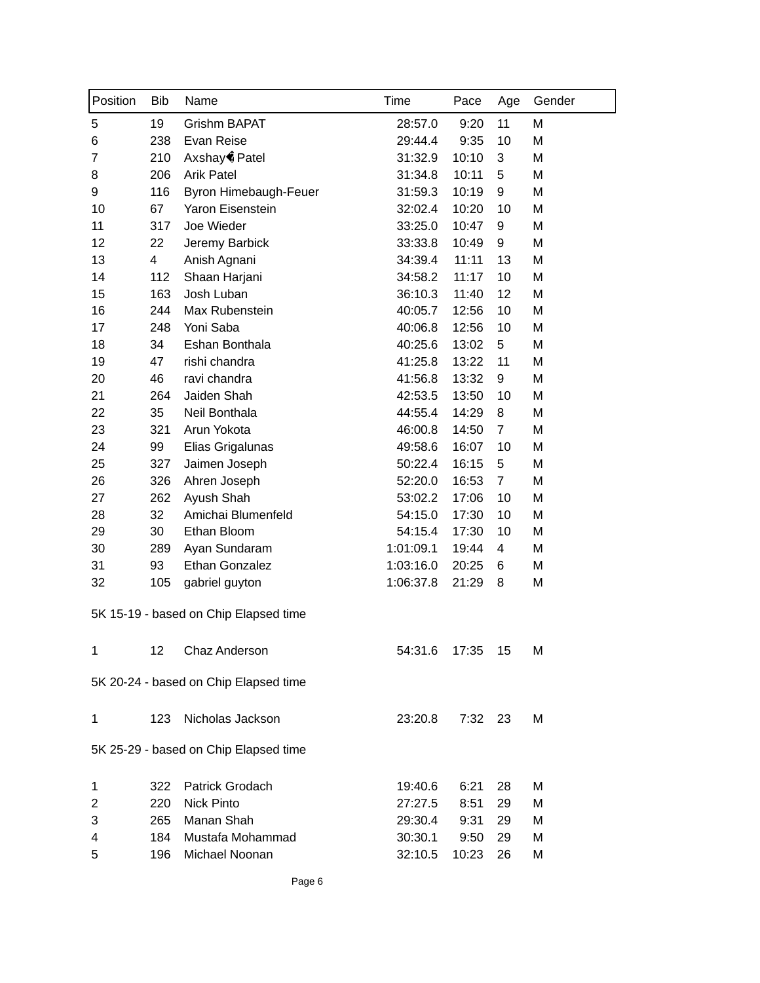| Position       | <b>Bib</b> | Name                                  | Time      | Pace    | Age            | Gender |
|----------------|------------|---------------------------------------|-----------|---------|----------------|--------|
| 5              | 19         | Grishm BAPAT                          | 28:57.0   | 9:20    | 11             | M      |
| 6              | 238        | Evan Reise                            | 29:44.4   | 9:35    | 10             | M      |
| $\overline{7}$ | 210        | Axshay Patel                          | 31:32.9   | 10:10   | 3              | M      |
| 8              | 206        | <b>Arik Patel</b>                     | 31:34.8   | 10:11   | 5              | M      |
| 9              | 116        | Byron Himebaugh-Feuer                 | 31:59.3   | 10:19   | 9              | M      |
| 10             | 67         | Yaron Eisenstein                      | 32:02.4   | 10:20   | 10             | M      |
| 11             | 317        | Joe Wieder                            | 33:25.0   | 10:47   | 9              | M      |
| 12             | 22         | Jeremy Barbick                        | 33:33.8   | 10:49   | 9              | Μ      |
| 13             | 4          | Anish Agnani                          | 34:39.4   | 11:11   | 13             | M      |
| 14             | 112        | Shaan Harjani                         | 34:58.2   | 11:17   | 10             | M      |
| 15             | 163        | Josh Luban                            | 36:10.3   | 11:40   | 12             | M      |
| 16             | 244        | Max Rubenstein                        | 40:05.7   | 12:56   | 10             | M      |
| 17             | 248        | Yoni Saba                             | 40:06.8   | 12:56   | 10             | M      |
| 18             | 34         | Eshan Bonthala                        | 40:25.6   | 13:02   | 5              | M      |
| 19             | 47         | rishi chandra                         | 41:25.8   | 13:22   | 11             | M      |
| 20             | 46         | ravi chandra                          | 41:56.8   | 13:32   | 9              | Μ      |
| 21             | 264        | Jaiden Shah                           | 42:53.5   | 13:50   | 10             | M      |
| 22             | 35         | Neil Bonthala                         | 44:55.4   | 14:29   | 8              | M      |
| 23             | 321        | Arun Yokota                           | 46:00.8   | 14:50   | $\overline{7}$ | M      |
| 24             | 99         | Elias Grigalunas                      | 49:58.6   | 16:07   | 10             | M      |
| 25             | 327        | Jaimen Joseph                         | 50:22.4   | 16:15   | 5              | M      |
| 26             | 326        | Ahren Joseph                          | 52:20.0   | 16:53   | $\overline{7}$ | M      |
| 27             | 262        | Ayush Shah                            | 53:02.2   | 17:06   | 10             | M      |
| 28             | 32         | Amichai Blumenfeld                    | 54:15.0   | 17:30   | 10             | M      |
| 29             | 30         | Ethan Bloom                           | 54:15.4   | 17:30   | 10             | M      |
| 30             | 289        | Ayan Sundaram                         | 1:01:09.1 | 19:44   | 4              | M      |
| 31             | 93         | Ethan Gonzalez                        | 1:03:16.0 | 20:25   | 6              | M      |
| 32             | 105        | gabriel guyton                        | 1:06:37.8 | 21:29   | 8              | M      |
|                |            | 5K 15-19 - based on Chip Elapsed time |           |         |                |        |
| 1              | 12         | Chaz Anderson                         | 54:31.6   | 17:35   | 15             | M      |
|                |            | 5K 20-24 - based on Chip Elapsed time |           |         |                |        |
| 1              | 123        | Nicholas Jackson                      | 23:20.8   | 7:32 23 |                | M      |
|                |            | 5K 25-29 - based on Chip Elapsed time |           |         |                |        |
| 1              | 322        | Patrick Grodach                       | 19:40.6   | 6:21    | 28             | M      |
| 2              | 220        | <b>Nick Pinto</b>                     | 27:27.5   | 8:51    | 29             | M      |
| 3              | 265        | Manan Shah                            | 29:30.4   | 9:31    | 29             | M      |
| 4              | 184        | Mustafa Mohammad                      | 30:30.1   | 9:50    | 29             | M      |
| 5              | 196        | Michael Noonan                        | 32:10.5   | 10:23   | 26             | М      |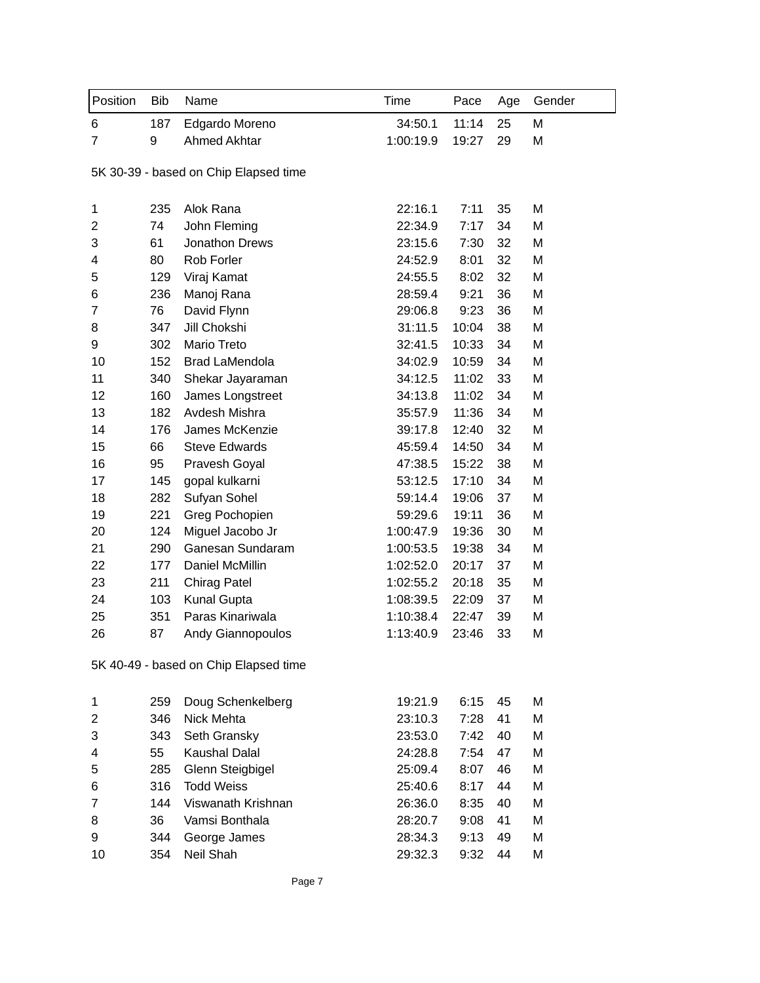| Position       | <b>Bib</b>                            | Name                                  | Time      | Pace  | Age | Gender |  |
|----------------|---------------------------------------|---------------------------------------|-----------|-------|-----|--------|--|
| 6              | 187                                   | Edgardo Moreno                        | 34:50.1   | 11:14 | 25  | M      |  |
| $\overline{7}$ | 9                                     | <b>Ahmed Akhtar</b>                   | 1:00:19.9 | 19:27 | 29  | M      |  |
|                | 5K 30-39 - based on Chip Elapsed time |                                       |           |       |     |        |  |
| 1              | 235                                   | Alok Rana                             | 22:16.1   | 7:11  | 35  | M      |  |
| 2              | 74                                    | John Fleming                          | 22:34.9   | 7:17  | 34  | M      |  |
| 3              | 61                                    | Jonathon Drews                        | 23:15.6   | 7:30  | 32  | M      |  |
| 4              | 80                                    | Rob Forler                            | 24:52.9   | 8:01  | 32  | M      |  |
| 5              | 129                                   | Viraj Kamat                           | 24:55.5   | 8:02  | 32  | M      |  |
| 6              | 236                                   | Manoj Rana                            | 28:59.4   | 9:21  | 36  | M      |  |
| $\overline{7}$ | 76                                    | David Flynn                           | 29:06.8   | 9:23  | 36  | M      |  |
| 8              | 347                                   | Jill Chokshi                          | 31:11.5   | 10:04 | 38  | M      |  |
| 9              | 302                                   | Mario Treto                           | 32:41.5   | 10:33 | 34  | M      |  |
| 10             | 152                                   | <b>Brad LaMendola</b>                 | 34:02.9   | 10:59 | 34  | M      |  |
| 11             | 340                                   | Shekar Jayaraman                      | 34:12.5   | 11:02 | 33  | M      |  |
| 12             | 160                                   | James Longstreet                      | 34:13.8   | 11:02 | 34  | Μ      |  |
| 13             | 182                                   | Avdesh Mishra                         | 35:57.9   | 11:36 | 34  | M      |  |
| 14             | 176                                   | James McKenzie                        | 39:17.8   | 12:40 | 32  | M      |  |
| 15             | 66                                    | <b>Steve Edwards</b>                  | 45:59.4   | 14:50 | 34  | M      |  |
| 16             | 95                                    | Pravesh Goyal                         | 47:38.5   | 15:22 | 38  | M      |  |
| 17             | 145                                   | gopal kulkarni                        | 53:12.5   | 17:10 | 34  | M      |  |
| 18             | 282                                   | Sufyan Sohel                          | 59:14.4   | 19:06 | 37  | M      |  |
| 19             | 221                                   | Greg Pochopien                        | 59:29.6   | 19:11 | 36  | M      |  |
| 20             | 124                                   | Miguel Jacobo Jr                      | 1:00:47.9 | 19:36 | 30  | M      |  |
| 21             | 290                                   | Ganesan Sundaram                      | 1:00:53.5 | 19:38 | 34  | M      |  |
| 22             | 177                                   | Daniel McMillin                       | 1:02:52.0 | 20:17 | 37  | M      |  |
| 23             | 211                                   | Chirag Patel                          | 1:02:55.2 | 20:18 | 35  | M      |  |
| 24             | 103                                   | <b>Kunal Gupta</b>                    | 1:08:39.5 | 22:09 | 37  | M      |  |
| 25             | 351                                   | Paras Kinariwala                      | 1:10:38.4 | 22:47 | 39  | M      |  |
| 26             | 87                                    | <b>Andy Giannopoulos</b>              | 1:13:40.9 | 23:46 | 33  | M      |  |
|                |                                       | 5K 40-49 - based on Chip Elapsed time |           |       |     |        |  |
| 1              | 259                                   | Doug Schenkelberg                     | 19:21.9   | 6:15  | 45  | M      |  |
| 2              | 346                                   | Nick Mehta                            | 23:10.3   | 7:28  | 41  | M      |  |
| 3              | 343                                   | Seth Gransky                          | 23:53.0   | 7:42  | 40  | M      |  |
| 4              | 55                                    | Kaushal Dalal                         | 24:28.8   | 7:54  | 47  | Μ      |  |
| 5              | 285                                   | Glenn Steigbigel                      | 25:09.4   | 8:07  | 46  | M      |  |
| 6              | 316                                   | <b>Todd Weiss</b>                     | 25:40.6   | 8:17  | 44  | Μ      |  |
| $\overline{7}$ | 144                                   | Viswanath Krishnan                    | 26:36.0   | 8:35  | 40  | M      |  |
| 8              | 36                                    | Vamsi Bonthala                        | 28:20.7   | 9:08  | 41  | M      |  |
| 9              | 344                                   | George James                          | 28:34.3   | 9:13  | 49  | M      |  |
| 10             | 354                                   | Neil Shah                             | 29:32.3   | 9:32  | 44  | M      |  |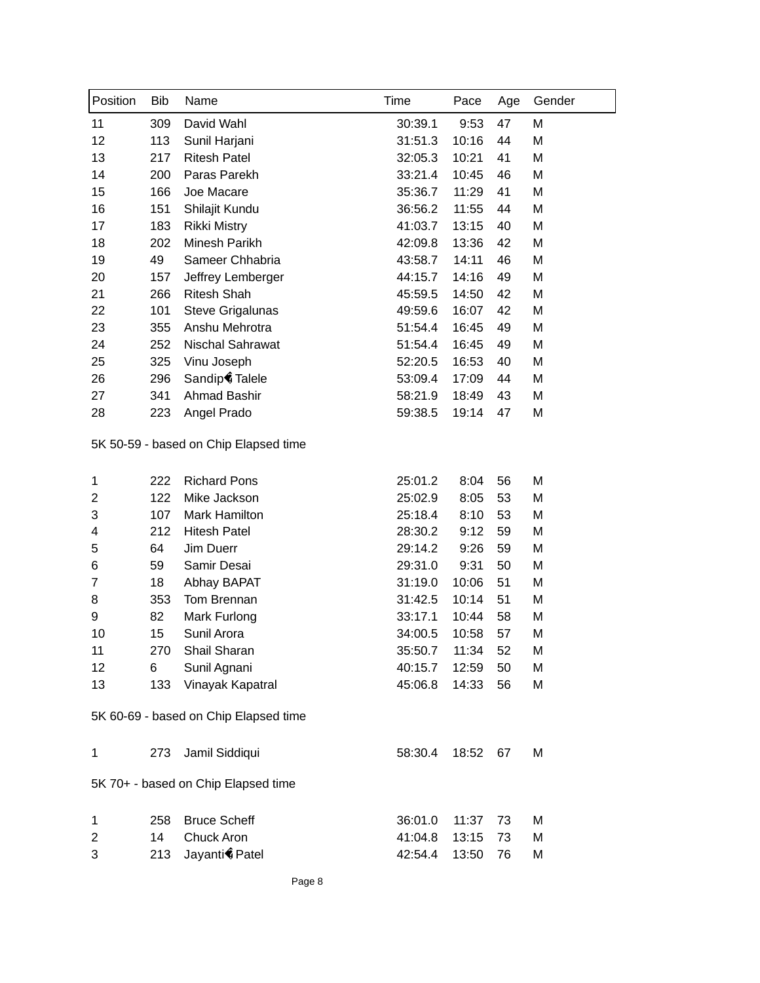| Position       | <b>Bib</b> | Name                                  | Time    | Pace  | Age | Gender |
|----------------|------------|---------------------------------------|---------|-------|-----|--------|
| 11             | 309        | David Wahl                            | 30:39.1 | 9:53  | 47  | M      |
| 12             | 113        | Sunil Harjani                         | 31:51.3 | 10:16 | 44  | M      |
| 13             | 217        | <b>Ritesh Patel</b>                   | 32:05.3 | 10:21 | 41  | M      |
| 14             | 200        | Paras Parekh                          | 33:21.4 | 10:45 | 46  | M      |
| 15             | 166        | Joe Macare                            | 35:36.7 | 11:29 | 41  | M      |
| 16             | 151        | Shilajit Kundu                        | 36:56.2 | 11:55 | 44  | M      |
| 17             | 183        | <b>Rikki Mistry</b>                   | 41:03.7 | 13:15 | 40  | M      |
| 18             | 202        | Minesh Parikh                         | 42:09.8 | 13:36 | 42  | M      |
| 19             | 49         | Sameer Chhabria                       | 43:58.7 | 14:11 | 46  | M      |
| 20             | 157        | Jeffrey Lemberger                     | 44:15.7 | 14:16 | 49  | M      |
| 21             | 266        | <b>Ritesh Shah</b>                    | 45:59.5 | 14:50 | 42  | M      |
| 22             | 101        | Steve Grigalunas                      | 49:59.6 | 16:07 | 42  | M      |
| 23             | 355        | Anshu Mehrotra                        | 51:54.4 | 16:45 | 49  | M      |
| 24             | 252        | Nischal Sahrawat                      | 51:54.4 | 16:45 | 49  | M      |
| 25             | 325        | Vinu Joseph                           | 52:20.5 | 16:53 | 40  | M      |
| 26             | 296        | Sandip Talele                         | 53:09.4 | 17:09 | 44  | M      |
| 27             | 341        | Ahmad Bashir                          | 58:21.9 | 18:49 | 43  | M      |
| 28             | 223        | Angel Prado                           | 59:38.5 | 19:14 | 47  | M      |
|                |            | 5K 50-59 - based on Chip Elapsed time |         |       |     |        |
| 1              | 222        | <b>Richard Pons</b>                   | 25:01.2 | 8:04  | 56  | M      |
| $\overline{2}$ | 122        | Mike Jackson                          | 25:02.9 | 8:05  | 53  | M      |
| 3              | 107        | Mark Hamilton                         | 25:18.4 | 8:10  | 53  | M      |
| 4              | 212        | <b>Hitesh Patel</b>                   | 28:30.2 | 9:12  | 59  | M      |
| 5              | 64         | Jim Duerr                             | 29:14.2 | 9:26  | 59  | M      |
| 6              | 59         | Samir Desai                           | 29:31.0 | 9:31  | 50  | M      |
| 7              | 18         | Abhay BAPAT                           | 31:19.0 | 10:06 | 51  | M      |
| 8              | 353        | Tom Brennan                           | 31:42.5 | 10:14 | 51  | M      |
| 9              | 82         | Mark Furlong                          | 33:17.1 | 10:44 | 58  | M      |
| 10             | 15         | Sunil Arora                           | 34:00.5 | 10:58 | 57  | M      |
| 11             | 270        | Shail Sharan                          | 35:50.7 | 11:34 | 52  | M      |
| 12             | 6          | Sunil Agnani                          | 40:15.7 | 12:59 | 50  | M      |
| 13             | 133        | Vinayak Kapatral                      | 45:06.8 | 14:33 | 56  | M      |
|                |            | 5K 60-69 - based on Chip Elapsed time |         |       |     |        |
| $\mathbf{1}$   | 273        | Jamil Siddiqui                        | 58:30.4 | 18:52 | 67  | M      |
|                |            | 5K 70+ - based on Chip Elapsed time   |         |       |     |        |
| 1              | 258        | <b>Bruce Scheff</b>                   | 36:01.0 | 11:37 | 73  | M      |
| $\overline{c}$ | 14         | Chuck Aron                            | 41:04.8 | 13:15 | 73  | M      |
| 3              | 213        | Jayanti Patel                         | 42:54.4 | 13:50 | 76  | М      |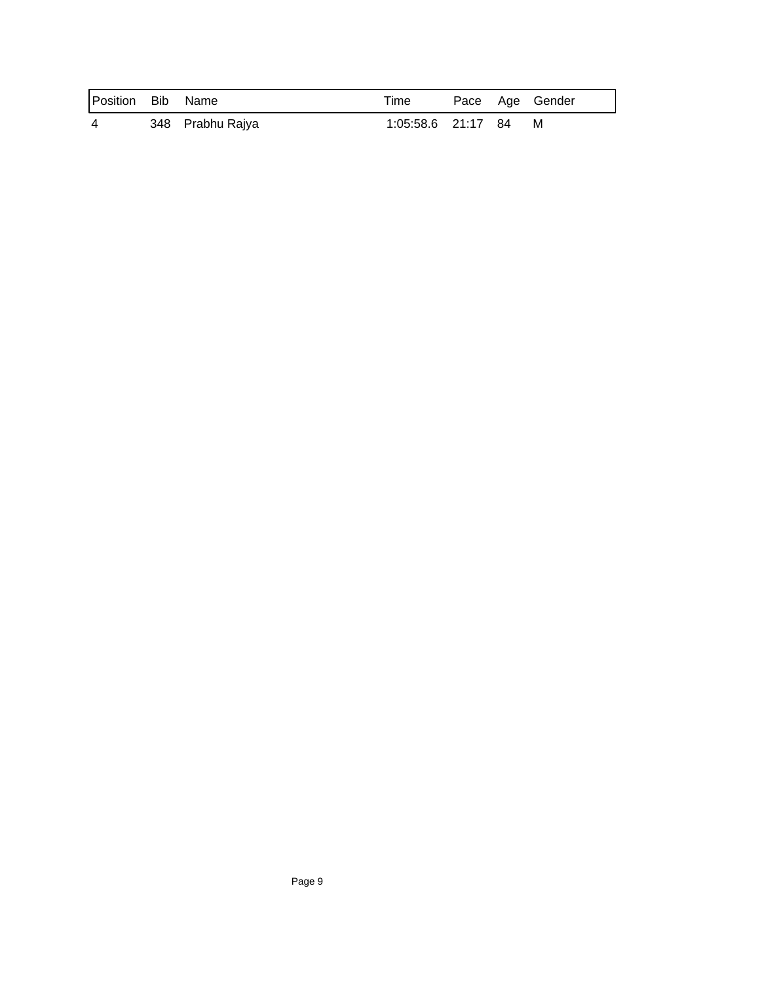| Position Bib Name |                  | Time               |  | Pace Age Gender |
|-------------------|------------------|--------------------|--|-----------------|
| 4                 | 348 Prabhu Rajya | 1:05:58.6 21:17 84 |  | M               |